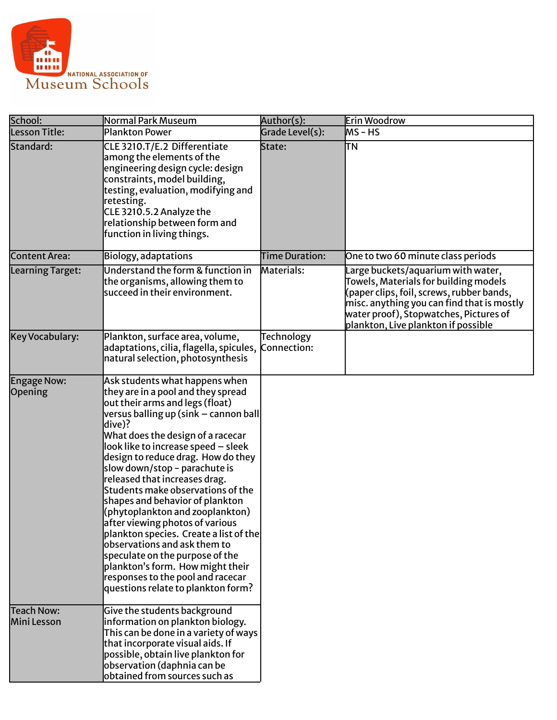

| School:                          | Normal Park Museum                                                                                                                                                                                                                                                                                                                                                                                                                                                                                                                                                                                                                                                                                                         | Author(s):            | Erin Woodrow                                                                                                                                                                                                                                            |
|----------------------------------|----------------------------------------------------------------------------------------------------------------------------------------------------------------------------------------------------------------------------------------------------------------------------------------------------------------------------------------------------------------------------------------------------------------------------------------------------------------------------------------------------------------------------------------------------------------------------------------------------------------------------------------------------------------------------------------------------------------------------|-----------------------|---------------------------------------------------------------------------------------------------------------------------------------------------------------------------------------------------------------------------------------------------------|
| Lesson Title:                    | <b>Plankton Power</b>                                                                                                                                                                                                                                                                                                                                                                                                                                                                                                                                                                                                                                                                                                      | Grade Level(s):       | lms – HS                                                                                                                                                                                                                                                |
| Standard:                        | CLE 3210.T/E.2 Differentiate<br>among the elements of the<br>engineering design cycle: design<br>constraints, model building,<br>testing, evaluation, modifying and<br>retesting.<br>CLE 3210.5.2 Analyze the<br>relationship between form and<br>function in living things.                                                                                                                                                                                                                                                                                                                                                                                                                                               | State:                | lΤN                                                                                                                                                                                                                                                     |
| <b>Content Area:</b>             | <b>Biology, adaptations</b>                                                                                                                                                                                                                                                                                                                                                                                                                                                                                                                                                                                                                                                                                                | <b>Time Duration:</b> | One to two 60 minute class periods                                                                                                                                                                                                                      |
| Learning Target:                 | Understand the form & function in<br>the organisms, allowing them to<br>succeed in their environment.                                                                                                                                                                                                                                                                                                                                                                                                                                                                                                                                                                                                                      | Materials:            | Large buckets/aquarium with water,<br>Towels, Materials for building models<br>(paper clips, foil, screws, rubber bands,<br>misc. anything you can find that is mostly<br>water proof), Stopwatches, Pictures of<br>plankton, Live plankton if possible |
| Key Vocabulary:                  | Plankton, surface area, volume,<br>adaptations, cilia, flagella, spicules, Connection:<br>natural selection, photosynthesis                                                                                                                                                                                                                                                                                                                                                                                                                                                                                                                                                                                                | Technology            |                                                                                                                                                                                                                                                         |
| <b>Engage Now:</b><br>Opening    | Ask students what happens when<br>they are in a pool and they spread<br>out their arms and legs (float)<br>versus balling up (sink - cannon ball<br>dive)?<br>What does the design of a racecar<br>look like to increase speed - sleek<br>design to reduce drag. How do they<br>slow down/stop - parachute is<br>released that increases drag.<br>Students make observations of the<br>shapes and behavior of plankton<br>(phytoplankton and zooplankton)<br>after viewing photos of various<br> plankton species. Create a list of the <br>observations and ask them to<br>speculate on the purpose of the<br>plankton's form. How might their<br>responses to the pool and racecar<br>questions relate to plankton form? |                       |                                                                                                                                                                                                                                                         |
| <b>Teach Now:</b><br>Mini Lesson | Give the students background<br>information on plankton biology.<br>This can be done in a variety of ways<br>that incorporate visual aids. If<br>possible, obtain live plankton for<br>observation (daphnia can be<br>lobtained from sources such as                                                                                                                                                                                                                                                                                                                                                                                                                                                                       |                       |                                                                                                                                                                                                                                                         |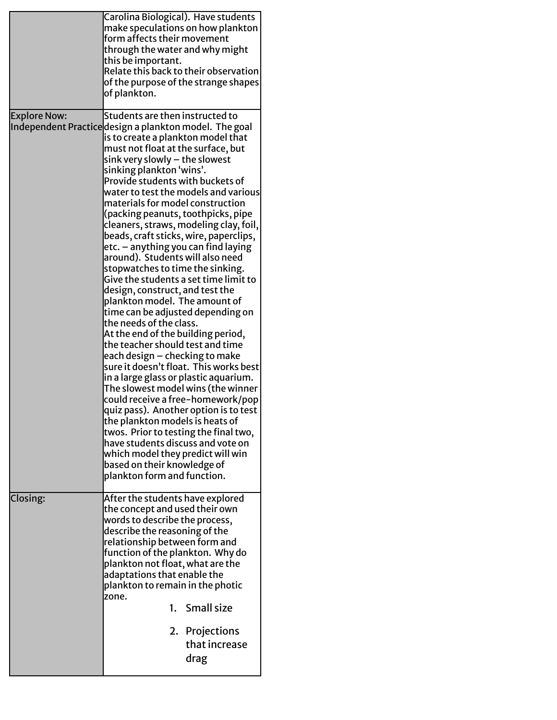|                     | Carolina Biological). Have students<br>make speculations on how plankton<br>form affects their movement<br>through the water and why might<br>this be important.<br>Relate this back to their observation<br>of the purpose of the strange shapes<br>of plankton.                                                                                                                                                                                                                                                                                                                                                                                                                                                                                                                                                                                                                                                                                                                                                                                                                                                                                                                                                                                                                                               |
|---------------------|-----------------------------------------------------------------------------------------------------------------------------------------------------------------------------------------------------------------------------------------------------------------------------------------------------------------------------------------------------------------------------------------------------------------------------------------------------------------------------------------------------------------------------------------------------------------------------------------------------------------------------------------------------------------------------------------------------------------------------------------------------------------------------------------------------------------------------------------------------------------------------------------------------------------------------------------------------------------------------------------------------------------------------------------------------------------------------------------------------------------------------------------------------------------------------------------------------------------------------------------------------------------------------------------------------------------|
| <b>Explore Now:</b> | Students are then instructed to<br>Independent Practicedesign a plankton model. The goal<br>is to create a plankton model that<br>must not float at the surface, but<br>sink very slowly - the slowest<br>sinking plankton 'wins'.<br>Provide students with buckets of<br>water to test the models and various<br>materials for model construction<br>(packing peanuts, toothpicks, pipe<br>cleaners, straws, modeling clay, foil,<br>beads, craft sticks, wire, paperclips,<br>etc. - anything you can find laying<br>around). Students will also need<br>stopwatches to time the sinking.<br>Give the students a set time limit to<br>design, construct, and test the<br>plankton model. The amount of<br>time can be adjusted depending on<br>the needs of the class.<br>At the end of the building period,<br>the teacher should test and time<br>each design – checking to make<br>sure it doesn't float. This works best<br>in a large glass or plastic aquarium.<br>The slowest model wins (the winner<br>could receive a free-homework/pop<br>quiz pass). Another option is to test<br>the plankton models is heats of<br>twos. Prior to testing the final two,<br>have students discuss and vote on<br>which model they predict will win<br>based on their knowledge of<br>plankton form and function. |
| Closing:            | After the students have explored<br>the concept and used their own<br>words to describe the process,<br>describe the reasoning of the<br>relationship between form and<br>function of the plankton. Why do<br>plankton not float, what are the<br>adaptations that enable the<br>plankton to remain in the photic<br>zone.<br>1. Small size<br>2. Projections<br>that increase<br>drag                                                                                                                                                                                                                                                                                                                                                                                                                                                                                                                                                                                                                                                                                                                                                                                                                                                                                                                          |